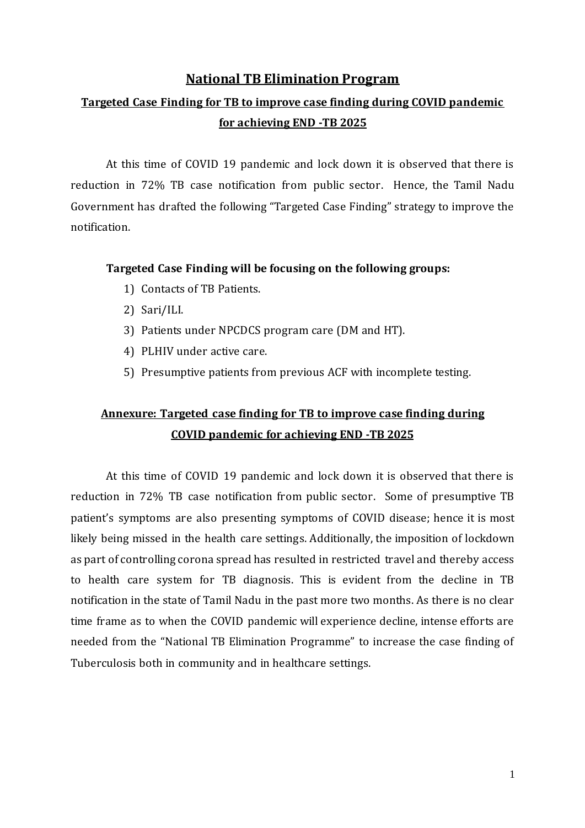### **National TB Elimination Program**

# **Targeted Case Finding for TB to improve case finding during COVID pandemic for achieving END -TB 2025**

At this time of COVID 19 pandemic and lock down it is observed that there is reduction in 72% TB case notification from public sector. Hence, the Tamil Nadu Government has drafted the following "Targeted Case Finding" strategy to improve the notification.

#### **Targeted Case Finding will be focusing on the following groups:**

- 1) Contacts of TB Patients.
- 2) Sari/ILI.
- 3) Patients under NPCDCS program care (DM and HT).
- 4) PLHIV under active care.
- 5) Presumptive patients from previous ACF with incomplete testing.

# **Annexure: Targeted case finding for TB to improve case finding during COVID pandemic for achieving END -TB 2025**

At this time of COVID 19 pandemic and lock down it is observed that there is reduction in 72% TB case notification from public sector. Some of presumptive TB patient's symptoms are also presenting symptoms of COVID disease; hence it is most likely being missed in the health care settings. Additionally, the imposition of lockdown as part of controlling corona spread has resulted in restricted travel and thereby access to health care system for TB diagnosis. This is evident from the decline in TB notification in the state of Tamil Nadu in the past more two months. As there is no clear time frame as to when the COVID pandemic will experience decline, intense efforts are needed from the "National TB Elimination Programme" to increase the case finding of Tuberculosis both in community and in healthcare settings.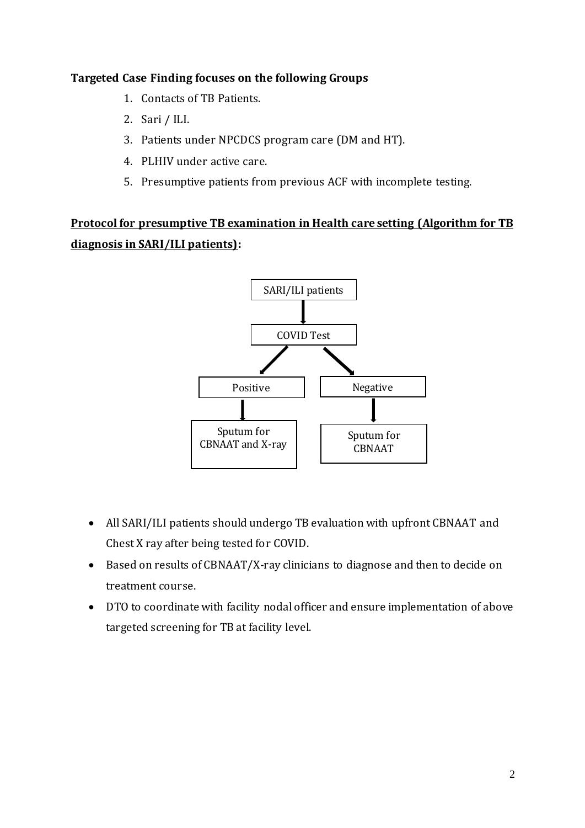## **Targeted Case Finding focuses on the following Groups**

- 1. Contacts of TB Patients.
- 2. Sari / ILI.
- 3. Patients under NPCDCS program care (DM and HT).
- 4. PLHIV under active care.
- 5. Presumptive patients from previous ACF with incomplete testing.

**Protocol for presumptive TB examination in Health care setting (Algorithm for TB diagnosis in SARI/ILI patients):**



- All SARI/ILI patients should undergo TB evaluation with upfront CBNAAT and Chest X ray after being tested for COVID.
- Based on results of CBNAAT/X-ray clinicians to diagnose and then to decide on treatment course.
- DTO to coordinate with facility nodal officer and ensure implementation of above targeted screening for TB at facility level.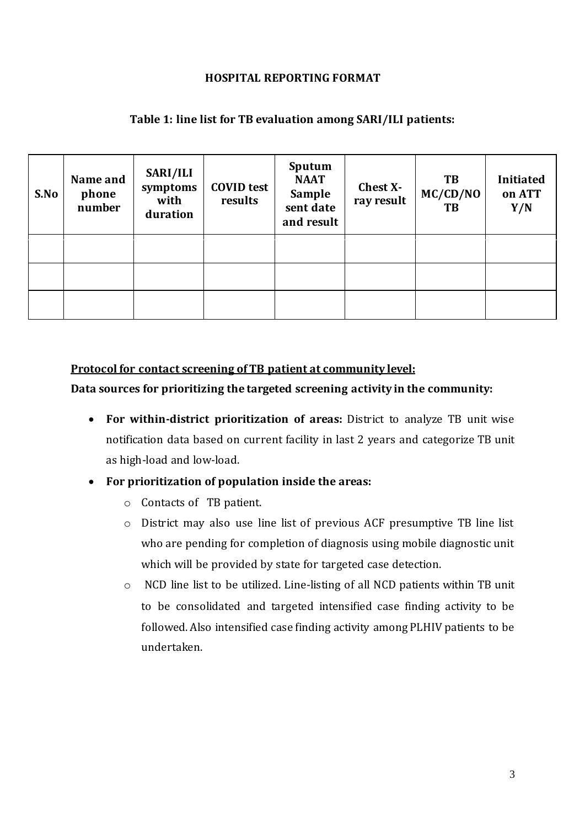#### **HOSPITAL REPORTING FORMAT**

#### **Table 1: line list for TB evaluation among SARI/ILI patients:**

| S.No | Name and<br>phone<br>number | SARI/ILI<br>symptoms<br>with<br>duration | <b>COVID test</b><br>results | Sputum<br><b>NAAT</b><br>Sample<br>sent date<br>and result | Chest X-<br>ray result | TB<br>MC/CD/NO<br>TB | <b>Initiated</b><br>on ATT<br>Y/N |
|------|-----------------------------|------------------------------------------|------------------------------|------------------------------------------------------------|------------------------|----------------------|-----------------------------------|
|      |                             |                                          |                              |                                                            |                        |                      |                                   |
|      |                             |                                          |                              |                                                            |                        |                      |                                   |
|      |                             |                                          |                              |                                                            |                        |                      |                                   |

### **Protocol for contact screening of TB patient at community level:**

#### **Data sources for prioritizing the targeted screening activity in the community:**

- **For within-district prioritization of areas:** District to analyze TB unit wise notification data based on current facility in last 2 years and categorize TB unit as high-load and low-load.
- **For prioritization of population inside the areas:**
	- o Contacts of TB patient.
	- o District may also use line list of previous ACF presumptive TB line list who are pending for completion of diagnosis using mobile diagnostic unit which will be provided by state for targeted case detection.
	- o NCD line list to be utilized. Line-listing of all NCD patients within TB unit to be consolidated and targeted intensified case finding activity to be followed. Also intensified case finding activity among PLHIV patients to be undertaken.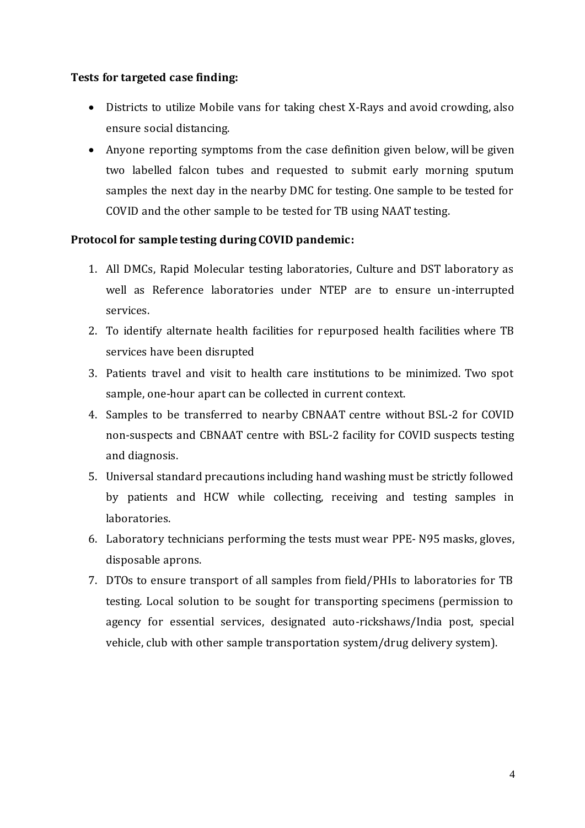#### **Tests for targeted case finding:**

- Districts to utilize Mobile vans for taking chest X-Rays and avoid crowding, also ensure social distancing.
- Anyone reporting symptoms from the case definition given below, will be given two labelled falcon tubes and requested to submit early morning sputum samples the next day in the nearby DMC for testing. One sample to be tested for COVID and the other sample to be tested for TB using NAAT testing.

## **Protocol for sample testing during COVID pandemic:**

- 1. All DMCs, Rapid Molecular testing laboratories, Culture and DST laboratory as well as Reference laboratories under NTEP are to ensure un-interrupted services.
- 2. To identify alternate health facilities for repurposed health facilities where TB services have been disrupted
- 3. Patients travel and visit to health care institutions to be minimized. Two spot sample, one-hour apart can be collected in current context.
- 4. Samples to be transferred to nearby CBNAAT centre without BSL-2 for COVID non-suspects and CBNAAT centre with BSL-2 facility for COVID suspects testing and diagnosis.
- 5. Universal standard precautions including hand washing must be strictly followed by patients and HCW while collecting, receiving and testing samples in laboratories.
- 6. Laboratory technicians performing the tests must wear PPE- N95 masks, gloves, disposable aprons.
- 7. DTOs to ensure transport of all samples from field/PHIs to laboratories for TB testing. Local solution to be sought for transporting specimens (permission to agency for essential services, designated auto-rickshaws/India post, special vehicle, club with other sample transportation system/drug delivery system).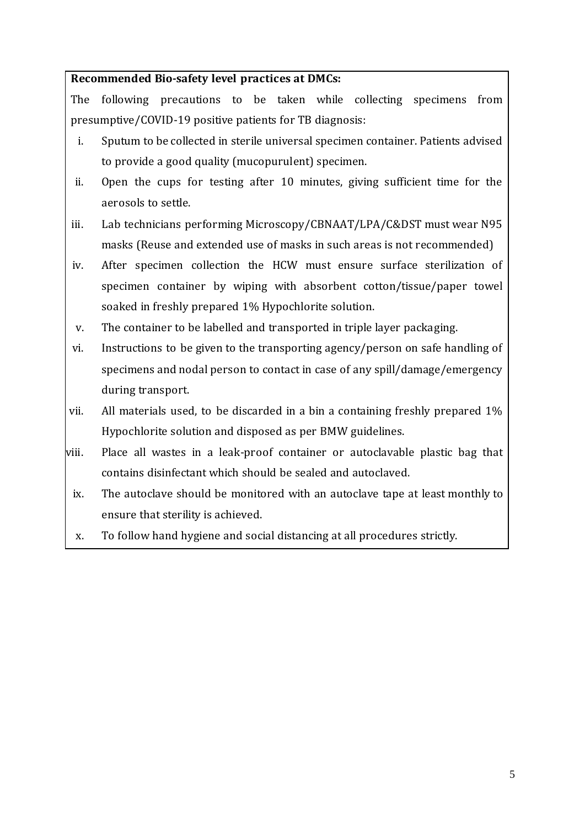### **Recommended Bio-safety level practices at DMCs:**

The following precautions to be taken while collecting specimens from presumptive/COVID-19 positive patients for TB diagnosis:

- i. Sputum to be collected in sterile universal specimen container. Patients advised to provide a good quality (mucopurulent) specimen.
- ii. Open the cups for testing after 10 minutes, giving sufficient time for the aerosols to settle.
- iii. Lab technicians performing Microscopy/CBNAAT/LPA/C&DST must wear N95 masks (Reuse and extended use of masks in such areas is not recommended)
- iv. After specimen collection the HCW must ensure surface sterilization of specimen container by wiping with absorbent cotton/tissue/paper towel soaked in freshly prepared 1% Hypochlorite solution.
- v. The container to be labelled and transported in triple layer packaging.
- vi. Instructions to be given to the transporting agency/person on safe handling of specimens and nodal person to contact in case of any spill/damage/emergency during transport.
- vii. All materials used, to be discarded in a bin a containing freshly prepared 1% Hypochlorite solution and disposed as per BMW guidelines.
- viii. Place all wastes in a leak-proof container or autoclavable plastic bag that contains disinfectant which should be sealed and autoclaved.
- ix. The autoclave should be monitored with an autoclave tape at least monthly to ensure that sterility is achieved.
- x. To follow hand hygiene and social distancing at all procedures strictly.